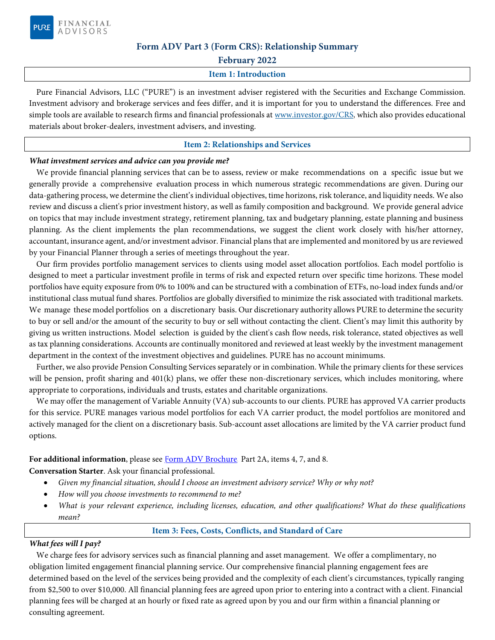

### **Form ADV Part 3 (Form CRS): Relationship Summary**

**February 2022** 

#### **Item 1: Introduction**

Pure Financial Advisors, LLC ("PURE") is an investment adviser registered with the Securities and Exchange Commission. Investment advisory and brokerage services and fees differ, and it is important for you to understand the differences. Free and simple tools are available to research firms and financial professionals at [www.investor.gov/CRS,](https://www.investor.gov/CRS) which also provides educational materials about broker-dealers, investment advisers, and investing.

#### **Item 2: Relationships and Services**

### *What investment services and advice can you provide me?*

We provide financial planning services that can be to assess, review or make recommendations on a specific issue but we generally provide a comprehensive evaluation process in which numerous strategic recommendations are given. During our data-gathering process, we determine the client's individual objectives, time horizons, risk tolerance, and liquidity needs. We also review and discuss a client's prior investment history, as well as family composition and background. We provide general advice on topics that may include investment strategy, retirement planning, tax and budgetary planning, estate planning and business planning. As the client implements the plan recommendations, we suggest the client work closely with his/her attorney, accountant, insurance agent, and/or investment advisor. Financial plans that are implemented and monitored by us are reviewed by your Financial Planner through a series of meetings throughout the year.

Our firm provides portfolio management services to clients using model asset allocation portfolios. Each model portfolio is designed to meet a particular investment profile in terms of risk and expected return over specific time horizons. These model portfolios have equity exposure from 0% to 100% and can be structured with a combination of ETFs, no-load index funds and/or institutional class mutual fund shares. Portfolios are globally diversified to minimize the risk associated with traditional markets. We manage these model portfolios on a discretionary basis. Our discretionary authority allows PURE to determine the security to buy or sell and/or the amount of the security to buy or sell without contacting the client. Client's may limit this authority by giving us written instructions. Model selection is guided by the client's cash flow needs, risk tolerance, stated objectives as well as tax planning considerations. Accounts are continually monitored and reviewed at least weekly by the investment management department in the context of the investment objectives and guidelines. PURE has no account minimums.

Further, we also provide Pension Consulting Services separately or in combination. While the primary clients for these services will be pension, profit sharing and 401(k) plans, we offer these non-discretionary services, which includes monitoring, where appropriate to corporations, individuals and trusts, estates and charitable organizations.

We may offer the management of Variable Annuity (VA) sub-accounts to our clients. PURE has approved VA carrier products for this service. PURE manages various model portfolios for each VA carrier product, the model portfolios are monitored and actively managed for the client on a discretionary basis. Sub-account asset allocations are limited by the VA carrier product fund options.

#### For additional information, please see [Form ADV Brochure,](https://adviserinfo.sec.gov/firm/summary/144316) Part 2A, items 4, 7, and 8.

**Conversation Starter**. Ask your financial professional.

- *Given my financial situation, should I choose an investment advisory service? Why or why not?*
- *How will you choose investments to recommend to me?*
- *What is your relevant experience, including licenses, education, and other qualifications? What do these qualifications mean?*

#### **Item 3: Fees, Costs, Conflicts, and Standard of Care**

#### *What fees will I pay?*

We charge fees for advisory services such as financial planning and asset management. We offer a complimentary, no obligation limited engagement financial planning service. Our comprehensive financial planning engagement fees are determined based on the level of the services being provided and the complexity of each client's circumstances, typically ranging from \$2,500 to over \$10,000. All financial planning fees are agreed upon prior to entering into a contract with a client. Financial planning fees will be charged at an hourly or fixed rate as agreed upon by you and our firm within a financial planning or consulting agreement.